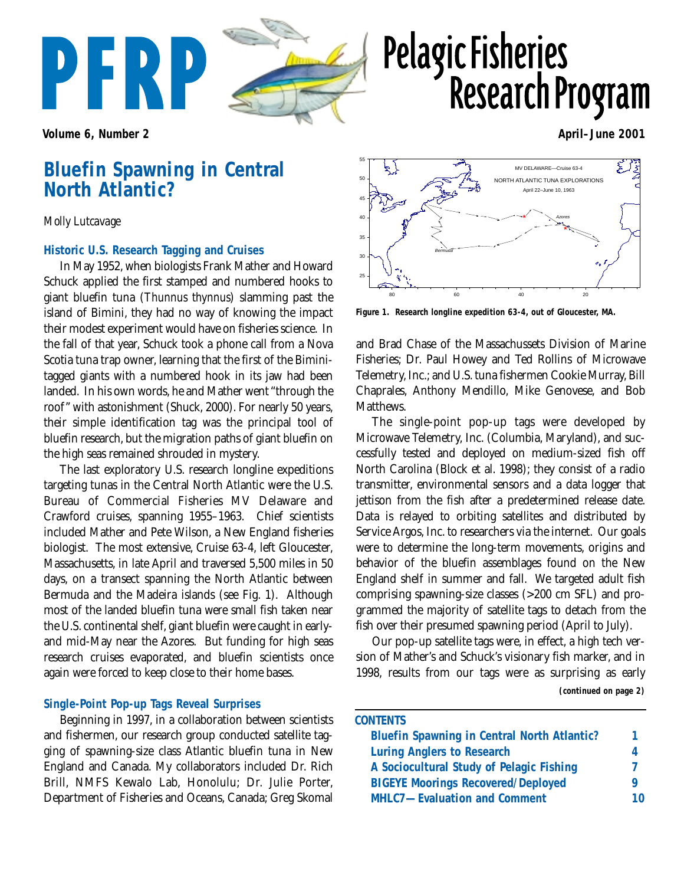

# **Pelagic Fisheries Research Program**

**Volume 6, Number 2** April–June 2001

# **Bluefin Spawning in Central North Atlantic?**

## *Molly Lutcavage*

### **Historic U.S. Research Tagging and Cruises**

In May 1952, when biologists Frank Mather and Howard Schuck applied the first stamped and numbered hooks to giant bluefin tuna (*Thunnus thynnus*) slamming past the island of Bimini, they had no way of knowing the impact their modest experiment would have on fisheries science. In the fall of that year, Schuck took a phone call from a Nova Scotia tuna trap owner, learning that the first of the Biminitagged giants with a numbered hook in its jaw had been landed. In his own words, he and Mather went "through the roof" with astonishment (Shuck, 2000). For nearly 50 years, their simple identification tag was the principal tool of bluefin research, but the migration paths of giant bluefin on the high seas remained shrouded in mystery.

The last exploratory U.S. research longline expeditions targeting tunas in the Central North Atlantic were the U.S. Bureau of Commercial Fisheries MV Delaware and Crawford cruises, spanning 1955–1963. Chief scientists included Mather and Pete Wilson, a New England fisheries biologist. The most extensive, Cruise 63-4, left Gloucester, Massachusetts, in late April and traversed 5,500 miles in 50 days, on a transect spanning the North Atlantic between Bermuda and the Madeira islands (see Fig. 1). Although most of the landed bluefin tuna were small fish taken near the U.S. continental shelf, giant bluefin were caught in earlyand mid-May near the Azores. But funding for high seas research cruises evaporated, and bluefin scientists once again were forced to keep close to their home bases.

# **Single-Point Pop-up Tags Reveal Surprises**

Beginning in 1997, in a collaboration between scientists and fishermen, our research group conducted satellite tagging of spawning-size class Atlantic bluefin tuna in New England and Canada. My collaborators included Dr. Rich Brill, NMFS Kewalo Lab, Honolulu; Dr. Julie Porter, Department of Fisheries and Oceans, Canada; Greg Skomal



**Figure 1. Research longline expedition 63-4, out of Gloucester, MA.**

and Brad Chase of the Massachussets Division of Marine Fisheries; Dr. Paul Howey and Ted Rollins of Microwave Telemetry, Inc.; and U.S. tuna fishermen Cookie Murray, Bill Chaprales, Anthony Mendillo, Mike Genovese, and Bob Matthews.

The single-point pop-up tags were developed by Microwave Telemetry, Inc. (Columbia, Maryland), and successfully tested and deployed on medium-sized fish off North Carolina (Block et al. 1998); they consist of a radio transmitter, environmental sensors and a data logger that jettison from the fish after a predetermined release date. Data is relayed to orbiting satellites and distributed by Service Argos, Inc. to researchers via the internet. Our goals were to determine the long-term movements, origins and behavior of the bluefin assemblages found on the New England shelf in summer and fall. We targeted adult fish comprising spawning-size classes (>200 cm SFL) and programmed the majority of satellite tags to detach from the fish over their presumed spawning period (April to July).

**(continued on page 2)** Our pop-up satellite tags were, in effect, a high tech version of Mather's and Schuck's visionary fish marker, and in 1998, results from our tags were as surprising as early

| <b>CONTENTS</b>                                    |    |
|----------------------------------------------------|----|
| <b>Bluefin Spawning in Central North Atlantic?</b> | 1  |
| <b>Luring Anglers to Research</b>                  | 4  |
| A Sociocultural Study of Pelagic Fishing           |    |
| <b>BIGEYE Moorings Recovered/Deployed</b>          |    |
| <b>MHLC7-Evaluation and Comment</b>                | 10 |
|                                                    |    |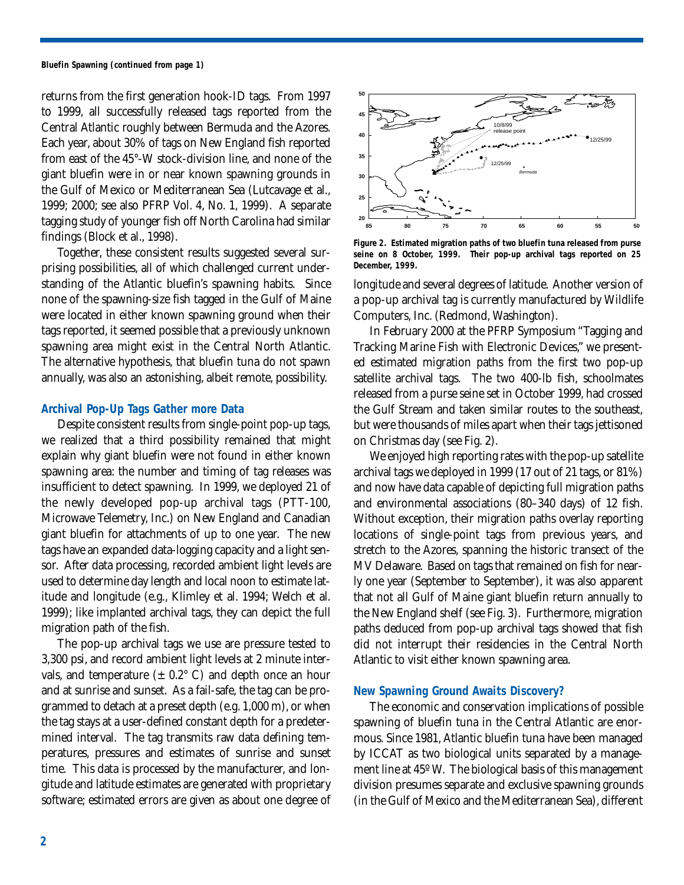**Bluefin Spawning (continued from page 1)**

returns from the first generation hook-ID tags. From 1997 to 1999, all successfully released tags reported from the Central Atlantic roughly between Bermuda and the Azores. Each year, about 30% of tags on New England fish reported from east of the 45°-W stock-division line, and none of the giant bluefin were in or near known spawning grounds in the Gulf of Mexico or Mediterranean Sea (Lutcavage et al., 1999; 2000; see also PFRP Vol. 4, No. 1, 1999). A separate tagging study of younger fish off North Carolina had similar findings (Block et al., 1998).

Together, these consistent results suggested several surprising possibilities, all of which challenged current understanding of the Atlantic bluefin's spawning habits. Since none of the spawning-size fish tagged in the Gulf of Maine were located in either known spawning ground when their tags reported, it seemed possible that a previously unknown spawning area might exist in the Central North Atlantic. The alternative hypothesis, that bluefin tuna do not spawn annually, was also an astonishing, albeit remote, possibility.

### **Archival Pop-Up Tags Gather more Data**

Despite consistent results from single-point pop-up tags, we realized that a third possibility remained that might explain why giant bluefin were not found in either known spawning area: the number and timing of tag releases was insufficient to detect spawning. In 1999, we deployed 21 of the newly developed pop-up archival tags (PTT-100, Microwave Telemetry, Inc.) on New England and Canadian giant bluefin for attachments of up to one year. The new tags have an expanded data-logging capacity and a light sensor. After data processing, recorded ambient light levels are used to determine day length and local noon to estimate latitude and longitude (e.g., Klimley et al. 1994; Welch et al. 1999); like implanted archival tags, they can depict the full migration path of the fish.

The pop-up archival tags we use are pressure tested to 3,300 psi, and record ambient light levels at 2 minute intervals, and temperature  $(\pm 0.2^{\circ} \text{ C})$  and depth once an hour and at sunrise and sunset. As a fail-safe, the tag can be programmed to detach at a preset depth (e.g. 1,000 m), or when the tag stays at a user-defined constant depth for a predetermined interval. The tag transmits raw data defining temperatures, pressures and estimates of sunrise and sunset time. This data is processed by the manufacturer, and longitude and latitude estimates are generated with proprietary software; estimated errors are given as about one degree of



**Figure 2. Estimated migration paths of two bluefin tuna released from purse seine on 8 October, 1999. Their pop-up archival tags reported on 25 December, 1999.**

longitude and several degrees of latitude. Another version of a pop-up archival tag is currently manufactured by Wildlife Computers, Inc. (Redmond, Washington).

In February 2000 at the PFRP Symposium "Tagging and Tracking Marine Fish with Electronic Devices," we presented estimated migration paths from the first two pop-up satellite archival tags. The two 400-lb fish, schoolmates released from a purse seine set in October 1999, had crossed the Gulf Stream and taken similar routes to the southeast, but were thousands of miles apart when their tags jettisoned on Christmas day (see Fig. 2).

We enjoyed high reporting rates with the pop-up satellite archival tags we deployed in 1999 (17 out of 21 tags, or 81%) and now have data capable of depicting full migration paths and environmental associations (80–340 days) of 12 fish. Without exception, their migration paths overlay reporting locations of single-point tags from previous years, and stretch to the Azores, spanning the historic transect of the MV Delaware. Based on tags that remained on fish for nearly one year (September to September), it was also apparent that not all Gulf of Maine giant bluefin return annually to the New England shelf (see Fig. 3). Furthermore, migration paths deduced from pop-up archival tags showed that fish did not interrupt their residencies in the Central North Atlantic to visit either known spawning area.

### **New Spawning Ground Awaits Discovery?**

The economic and conservation implications of possible spawning of bluefin tuna in the Central Atlantic are enormous. Since 1981, Atlantic bluefin tuna have been managed by ICCAT as two biological units separated by a management line at 45º W. The biological basis of this management division presumes separate and exclusive spawning grounds (in the Gulf of Mexico and the Mediterranean Sea), different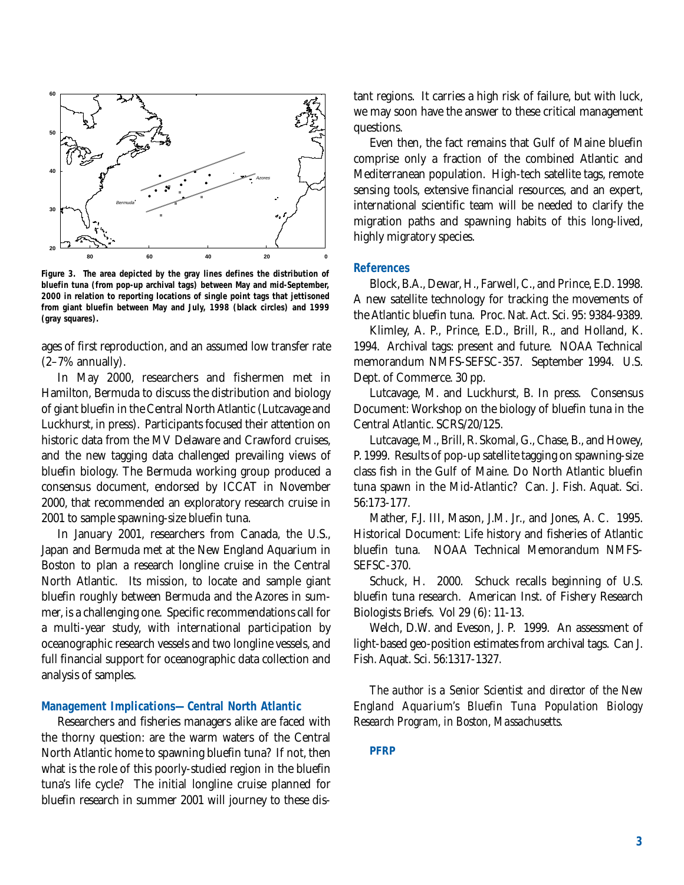

**Figure 3. The area depicted by the gray lines defines the distribution of bluefin tuna (from pop-up archival tags) between May and mid-September, 2000 in relation to reporting locations of single point tags that jettisoned from giant bluefin between May and July, 1998 (black circles) and 1999 (gray squares).**

ages of first reproduction, and an assumed low transfer rate (2–7% annually).

In May 2000, researchers and fishermen met in Hamilton, Bermuda to discuss the distribution and biology of giant bluefin in the Central North Atlantic (Lutcavage and Luckhurst, in press). Participants focused their attention on historic data from the MV Delaware and Crawford cruises, and the new tagging data challenged prevailing views of bluefin biology. The Bermuda working group produced a consensus document, endorsed by ICCAT in November 2000, that recommended an exploratory research cruise in 2001 to sample spawning-size bluefin tuna.

In January 2001, researchers from Canada, the U.S., Japan and Bermuda met at the New England Aquarium in Boston to plan a research longline cruise in the Central North Atlantic. Its mission, to locate and sample giant bluefin roughly between Bermuda and the Azores in summer, is a challenging one. Specific recommendations call for a multi-year study, with international participation by oceanographic research vessels and two longline vessels, and full financial support for oceanographic data collection and analysis of samples.

### **Management Implications—Central North Atlantic**

Researchers and fisheries managers alike are faced with the thorny question: are the warm waters of the Central North Atlantic home to spawning bluefin tuna? If not, then what is the role of this poorly-studied region in the bluefin tuna's life cycle? The initial longline cruise planned for bluefin research in summer 2001 will journey to these distant regions. It carries a high risk of failure, but with luck, we may soon have the answer to these critical management questions.

Even then, the fact remains that Gulf of Maine bluefin comprise only a fraction of the combined Atlantic and Mediterranean population. High-tech satellite tags, remote sensing tools, extensive financial resources, and an expert, international scientific team will be needed to clarify the migration paths and spawning habits of this long-lived, highly migratory species.

#### **References**

Block, B.A., Dewar, H., Farwell, C., and Prince, E.D. 1998. A new satellite technology for tracking the movements of the Atlantic bluefin tuna. Proc. Nat. Act. Sci. 95: 9384-9389.

Klimley, A. P., Prince, E.D., Brill, R., and Holland, K. 1994. Archival tags: present and future. NOAA Technical memorandum NMFS-SEFSC-357. September 1994. U.S. Dept. of Commerce. 30 pp.

Lutcavage, M. and Luckhurst, B. In press. Consensus Document: Workshop on the biology of bluefin tuna in the Central Atlantic. SCRS/20/125.

Lutcavage, M., Brill, R. Skomal, G., Chase, B., and Howey, P. 1999. Results of pop-up satellite tagging on spawning-size class fish in the Gulf of Maine. Do North Atlantic bluefin tuna spawn in the Mid-Atlantic? Can. J. Fish. Aquat. Sci. 56:173-177.

Mather, F.J. III, Mason, J.M. Jr., and Jones, A. C. 1995. Historical Document: Life history and fisheries of Atlantic bluefin tuna. NOAA Technical Memorandum NMFS-SEFSC-370.

Schuck, H. 2000. Schuck recalls beginning of U.S. bluefin tuna research. American Inst. of Fishery Research Biologists Briefs. Vol 29 (6): 11-13.

Welch, D.W. and Eveson, J. P. 1999. An assessment of light-based geo-position estimates from archival tags. Can J. Fish. Aquat. Sci. 56:1317-1327.

*The author is a Senior Scientist and director of the New England Aquarium's Bluefin Tuna Population Biology Research Program, in Boston, Massachusetts.*

#### **PFRP**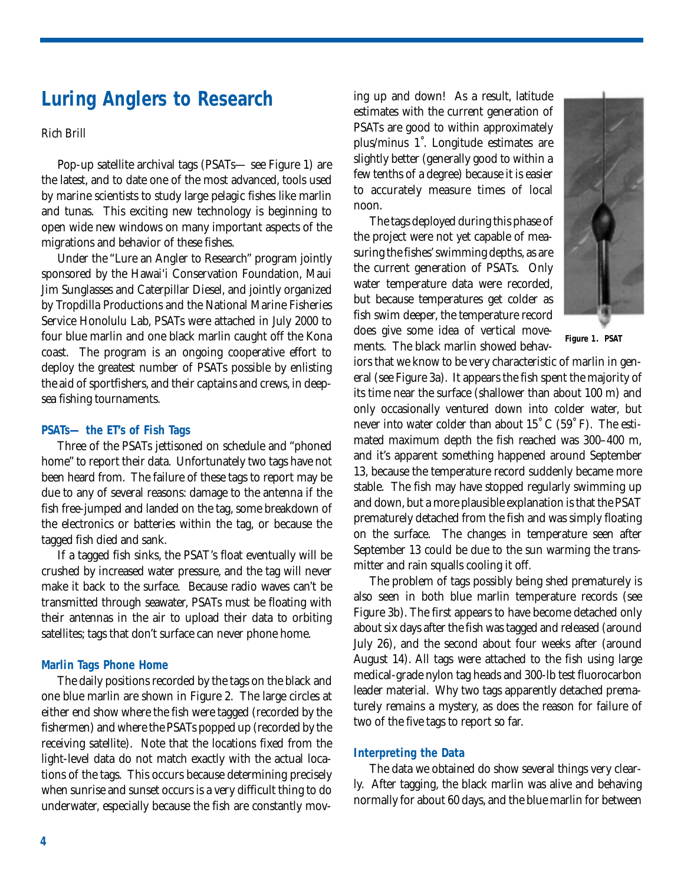# **Luring Anglers to Research**

### *Rich Brill*

Pop-up satellite archival tags (PSATs— see Figure 1) are the latest, and to date one of the most advanced, tools used by marine scientists to study large pelagic fishes like marlin and tunas. This exciting new technology is beginning to open wide new windows on many important aspects of the migrations and behavior of these fishes.

Under the "Lure an Angler to Research" program jointly sponsored by the Hawai'i Conservation Foundation, Maui Jim Sunglasses and Caterpillar Diesel, and jointly organized by Tropdilla Productions and the National Marine Fisheries Service Honolulu Lab, PSATs were attached in July 2000 to four blue marlin and one black marlin caught off the Kona coast. The program is an ongoing cooperative effort to deploy the greatest number of PSATs possible by enlisting the aid of sportfishers, and their captains and crews, in deepsea fishing tournaments.

### **PSATs— the ET's of Fish Tags**

Three of the PSATs jettisoned on schedule and "phoned home" to report their data. Unfortunately two tags have not been heard from. The failure of these tags to report may be due to any of several reasons: damage to the antenna if the fish free-jumped and landed on the tag, some breakdown of the electronics or batteries within the tag, or because the tagged fish died and sank.

If a tagged fish sinks, the PSAT's float eventually will be crushed by increased water pressure, and the tag will never make it back to the surface. Because radio waves can't be transmitted through seawater, PSATs must be floating with their antennas in the air to upload their data to orbiting satellites; tags that don't surface can never phone home.

### **Marlin Tags Phone Home**

The daily positions recorded by the tags on the black and one blue marlin are shown in Figure 2. The large circles at either end show where the fish were tagged (recorded by the fishermen) and where the PSATs popped up (recorded by the receiving satellite). Note that the locations fixed from the light-level data do not match exactly with the actual locations of the tags. This occurs because determining precisely when sunrise and sunset occurs is a very difficult thing to do underwater, especially because the fish are constantly moving up and down! As a result, latitude estimates with the current generation of PSATs are good to within approximately plus/minus 1˚. Longitude estimates are slightly better (generally good to within a few tenths of a degree) because it is easier to accurately measure times of local noon.

The tags deployed during this phase of the project were not yet capable of measuring the fishes' swimming depths, as are the current generation of PSATs. Only water temperature data were recorded, but because temperatures get colder as fish swim deeper, the temperature record does give some idea of vertical movements. The black marlin showed behav-



**Figure 1. PSAT**

iors that we know to be very characteristic of marlin in general (see Figure 3a). It appears the fish spent the majority of its time near the surface (shallower than about 100 m) and only occasionally ventured down into colder water, but never into water colder than about 15˚ C (59˚ F). The estimated maximum depth the fish reached was 300–400 m, and it's apparent something happened around September 13, because the temperature record suddenly became more stable. The fish may have stopped regularly swimming up and down, but a more plausible explanation is that the PSAT prematurely detached from the fish and was simply floating on the surface. The changes in temperature seen after September 13 could be due to the sun warming the transmitter and rain squalls cooling it off.

The problem of tags possibly being shed prematurely is also seen in both blue marlin temperature records (see Figure 3b). The first appears to have become detached only about six days after the fish was tagged and released (around July 26), and the second about four weeks after (around August 14). All tags were attached to the fish using large medical-grade nylon tag heads and 300-lb test fluorocarbon leader material. Why two tags apparently detached prematurely remains a mystery, as does the reason for failure of two of the five tags to report so far.

### **Interpreting the Data**

The data we obtained do show several things very clearly. After tagging, the black marlin was alive and behaving normally for about 60 days, and the blue marlin for between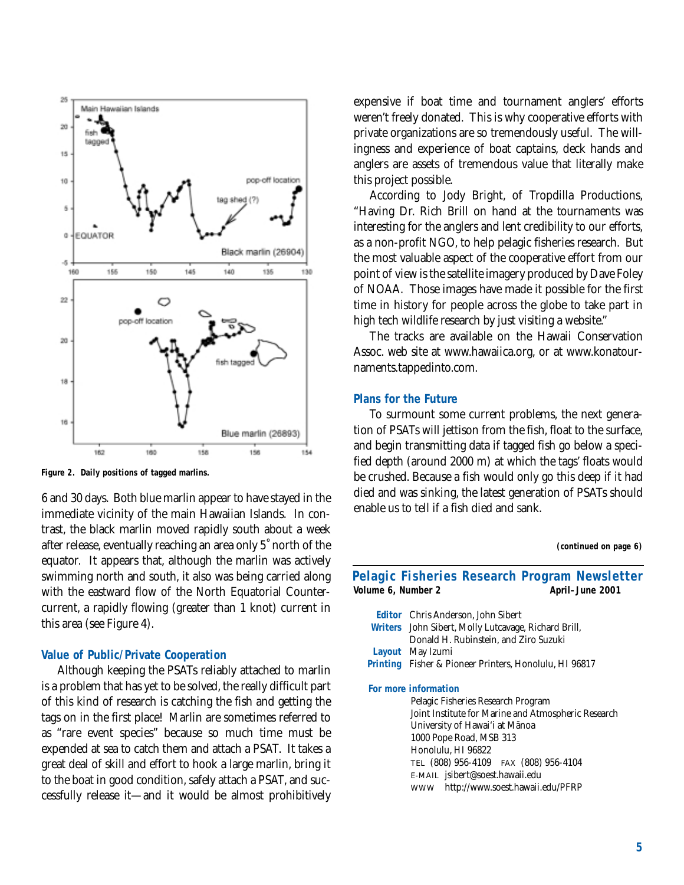

**Figure 2. Daily positions of tagged marlins.**

6 and 30 days. Both blue marlin appear to have stayed in the immediate vicinity of the main Hawaiian Islands. In contrast, the black marlin moved rapidly south about a week after release, eventually reaching an area only 5˚ north of the equator. It appears that, although the marlin was actively swimming north and south, it also was being carried along with the eastward flow of the North Equatorial Countercurrent, a rapidly flowing (greater than 1 knot) current in this area (see Figure 4).

#### **Value of Public/Private Cooperation**

Although keeping the PSATs reliably attached to marlin is a problem that has yet to be solved, the really difficult part of this kind of research is catching the fish and getting the tags on in the first place! Marlin are sometimes referred to as "rare event species" because so much time must be expended at sea to catch them and attach a PSAT. It takes a great deal of skill and effort to hook a large marlin, bring it to the boat in good condition, safely attach a PSAT, and successfully release it—and it would be almost prohibitively expensive if boat time and tournament anglers' efforts weren't freely donated. This is why cooperative efforts with private organizations are so tremendously useful. The willingness and experience of boat captains, deck hands and anglers are assets of tremendous value that literally make this project possible.

According to Jody Bright, of Tropdilla Productions, "Having Dr. Rich Brill on hand at the tournaments was interesting for the anglers and lent credibility to our efforts, as a non-profit NGO, to help pelagic fisheries research. But the most valuable aspect of the cooperative effort from our point of view is the satellite imagery produced by Dave Foley of NOAA. Those images have made it possible for the first time in history for people across the globe to take part in high tech wildlife research by just visiting a website."

The tracks are available on the Hawaii Conservation Assoc. web site at www.hawaiica.org, or at www.konatournaments.tappedinto.com.

### **Plans for the Future**

To surmount some current problems, the next generation of PSATs will jettison from the fish, float to the surface, and begin transmitting data if tagged fish go below a specified depth (around 2000 m) at which the tags' floats would be crushed. Because a fish would only go this deep if it had died and was sinking, the latest generation of PSATs should enable us to tell if a fish died and sank.

**(continued on page 6)**

| Pelagic Fisheries Research Program Newsletter<br>Volume 6, Number 2<br>April-June 2001 |                                                               |
|----------------------------------------------------------------------------------------|---------------------------------------------------------------|
|                                                                                        |                                                               |
|                                                                                        | Editor Chris Anderson, John Sibert                            |
|                                                                                        | Writers John Sibert, Molly Lutcavage, Richard Brill,          |
|                                                                                        | Donald H. Rubinstein, and Ziro Suzuki                         |
|                                                                                        | Layout May Izumi                                              |
|                                                                                        | <b>Printing</b> Fisher & Pioneer Printers, Honolulu, HI 96817 |
|                                                                                        | For more information                                          |
|                                                                                        | Pelagic Fisheries Research Program                            |
|                                                                                        | Joint Institute for Marine and Atmospheric Research           |
|                                                                                        | University of Hawai'i at Mānoa                                |
|                                                                                        | 1000 Pope Road, MSB 313                                       |
|                                                                                        | Honolulu, HI 96822                                            |
|                                                                                        | TEL (808) 956-4109 FAX (808) 956-4104                         |
|                                                                                        | E-MAIL jsibert@soest.hawaii.edu                               |
|                                                                                        | WWW http://www.soest.hawaii.edu/PFRP                          |
|                                                                                        |                                                               |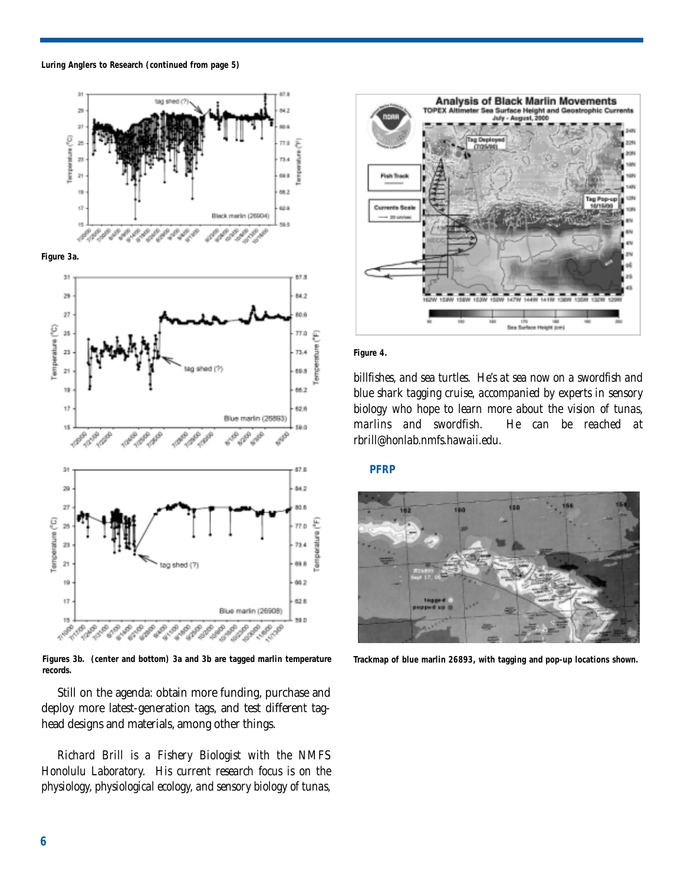





**Figures 3b. (center and bottom) 3a and 3b are tagged marlin temperature records.**

Still on the agenda: obtain more funding, purchase and deploy more latest-generation tags, and test different taghead designs and materials, among other things.

*Richard Brill is a Fishery Biologist with the NMFS Honolulu Laboratory. His current research focus is on the physiology, physiological ecology, and sensory biology of tunas,*



**Figure 4.**

*billfishes, and sea turtles. He's at sea now on a swordfish and blue shark tagging cruise, accompanied by experts in sensory biology who hope to learn more about the vision of tunas, marlins and swordfish. He can be reached at rbrill@honlab.nmfs.hawaii.edu.*

#### **PFRP**



**Trackmap of blue marlin 26893, with tagging and pop-up locations shown.**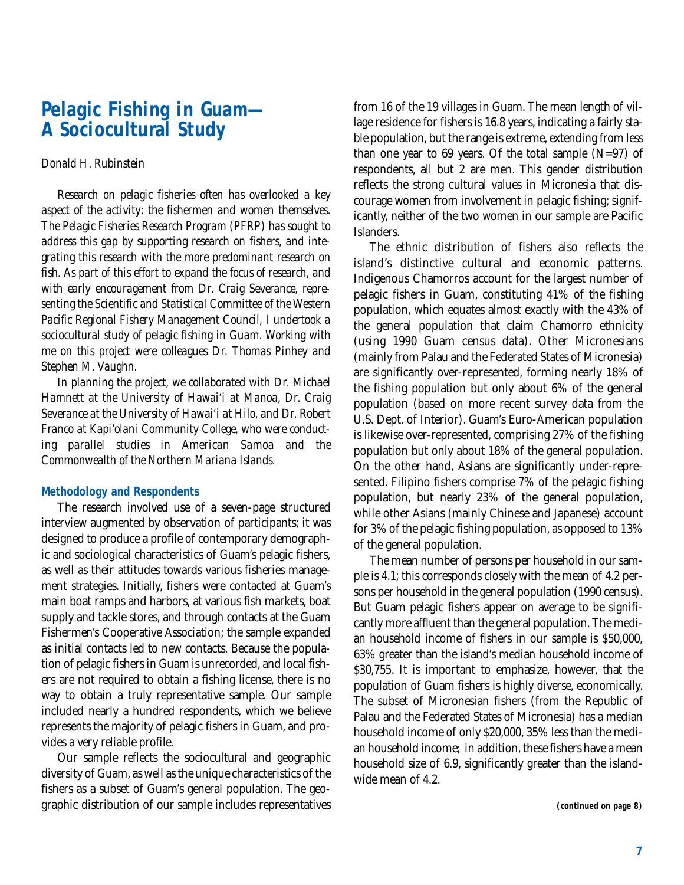# **Pelagic Fishing in Guam— A Sociocultural Study**

### *Donald H. Rubinstein*

*Research on pelagic fisheries often has overlooked a key aspect of the activity: the fishermen and women themselves. The Pelagic Fisheries Research Program (PFRP) has sought to address this gap by supporting research on fishers, and integrating this research with the more predominant research on fish. As part of this effort to expand the focus of research, and with early encouragement from Dr. Craig Severance, representing the Scientific and Statistical Committee of the Western Pacific Regional Fishery Management Council, I undertook a sociocultural study of pelagic fishing in Guam. Working with me on this project were colleagues Dr. Thomas Pinhey and Stephen M. Vaughn.*

*In planning the project, we collaborated with Dr. Michael Hamnett at the University of Hawai'i at Manoa, Dr. Craig Severance at the University of Hawai'i at Hilo, and Dr. Robert Franco at Kapi'olani Community College, who were conducting parallel studies in American Samoa and the Commonwealth of the Northern Mariana Islands.*

### **Methodology and Respondents**

The research involved use of a seven-page structured interview augmented by observation of participants; it was designed to produce a profile of contemporary demographic and sociological characteristics of Guam's pelagic fishers, as well as their attitudes towards various fisheries management strategies. Initially, fishers were contacted at Guam's main boat ramps and harbors, at various fish markets, boat supply and tackle stores, and through contacts at the Guam Fishermen's Cooperative Association; the sample expanded as initial contacts led to new contacts. Because the population of pelagic fishers in Guam is unrecorded, and local fishers are not required to obtain a fishing license, there is no way to obtain a truly representative sample. Our sample included nearly a hundred respondents, which we believe represents the majority of pelagic fishers in Guam, and provides a very reliable profile.

Our sample reflects the sociocultural and geographic diversity of Guam, as well as the unique characteristics of the fishers as a subset of Guam's general population. The geographic distribution of our sample includes representatives from 16 of the 19 villages in Guam. The mean length of village residence for fishers is 16.8 years, indicating a fairly stable population, but the range is extreme, extending from less than one year to  $69$  years. Of the total sample (N=97) of respondents, all but 2 are men. This gender distribution reflects the strong cultural values in Micronesia that discourage women from involvement in pelagic fishing; significantly, neither of the two women in our sample are Pacific Islanders.

The ethnic distribution of fishers also reflects the island's distinctive cultural and economic patterns. Indigenous Chamorros account for the largest number of pelagic fishers in Guam, constituting 41% of the fishing population, which equates almost exactly with the 43% of the general population that claim Chamorro ethnicity (using 1990 Guam census data). Other Micronesians (mainly from Palau and the Federated States of Micronesia) are significantly over-represented, forming nearly 18% of the fishing population but only about 6% of the general population (based on more recent survey data from the U.S. Dept. of Interior). Guam's Euro-American population is likewise over-represented, comprising 27% of the fishing population but only about 18% of the general population. On the other hand, Asians are significantly under-represented. Filipino fishers comprise 7% of the pelagic fishing population, but nearly 23% of the general population, while other Asians (mainly Chinese and Japanese) account for 3% of the pelagic fishing population, as opposed to 13% of the general population.

The mean number of persons per household in our sample is 4.1; this corresponds closely with the mean of 4.2 persons per household in the general population (1990 census). But Guam pelagic fishers appear on average to be significantly more affluent than the general population. The median household income of fishers in our sample is \$50,000, 63% greater than the island's median household income of \$30,755. It is important to emphasize, however, that the population of Guam fishers is highly diverse, economically. The subset of Micronesian fishers (from the Republic of Palau and the Federated States of Micronesia) has a median household income of only \$20,000, 35% less than the median household income; in addition, these fishers have a mean household size of 6.9, significantly greater than the islandwide mean of 4.2.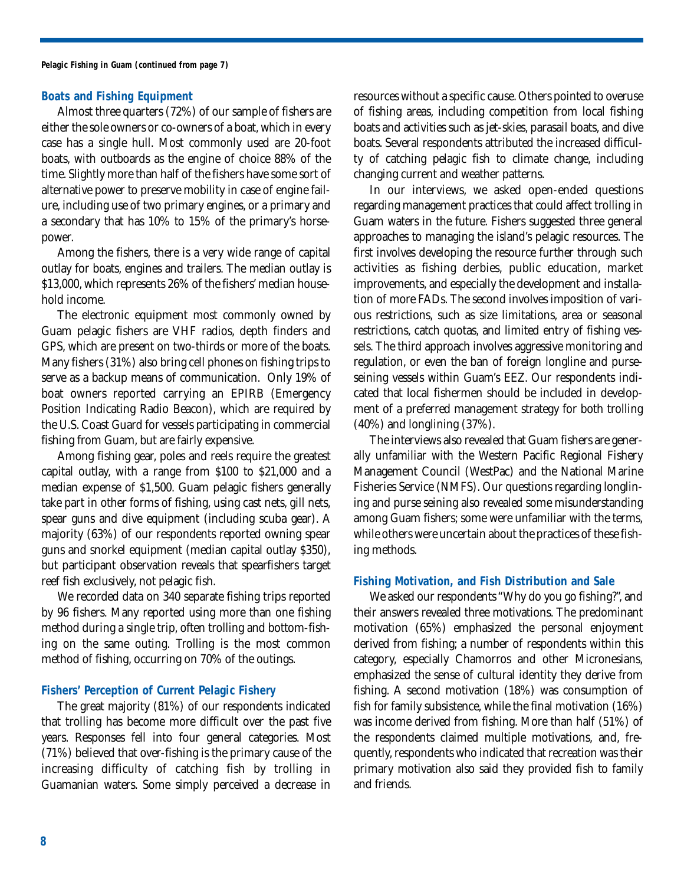### **Boats and Fishing Equipment**

Almost three quarters (72%) of our sample of fishers are either the sole owners or co-owners of a boat, which in every case has a single hull. Most commonly used are 20-foot boats, with outboards as the engine of choice 88% of the time. Slightly more than half of the fishers have some sort of alternative power to preserve mobility in case of engine failure, including use of two primary engines, or a primary and a secondary that has 10% to 15% of the primary's horsepower.

Among the fishers, there is a very wide range of capital outlay for boats, engines and trailers. The median outlay is \$13,000, which represents 26% of the fishers' median household income.

The electronic equipment most commonly owned by Guam pelagic fishers are VHF radios, depth finders and GPS, which are present on two-thirds or more of the boats. Many fishers (31%) also bring cell phones on fishing trips to serve as a backup means of communication. Only 19% of boat owners reported carrying an EPIRB (Emergency Position Indicating Radio Beacon), which are required by the U.S. Coast Guard for vessels participating in commercial fishing from Guam, but are fairly expensive.

Among fishing gear, poles and reels require the greatest capital outlay, with a range from \$100 to \$21,000 and a median expense of \$1,500. Guam pelagic fishers generally take part in other forms of fishing, using cast nets, gill nets, spear guns and dive equipment (including scuba gear). A majority (63%) of our respondents reported owning spear guns and snorkel equipment (median capital outlay \$350), but participant observation reveals that spearfishers target reef fish exclusively, not pelagic fish.

We recorded data on 340 separate fishing trips reported by 96 fishers. Many reported using more than one fishing method during a single trip, often trolling and bottom-fishing on the same outing. Trolling is the most common method of fishing, occurring on 70% of the outings.

### **Fishers' Perception of Current Pelagic Fishery**

The great majority (81%) of our respondents indicated that trolling has become more difficult over the past five years. Responses fell into four general categories. Most (71%) believed that over-fishing is the primary cause of the increasing difficulty of catching fish by trolling in Guamanian waters. Some simply perceived a decrease in resources without a specific cause. Others pointed to overuse of fishing areas, including competition from local fishing boats and activities such as jet-skies, parasail boats, and dive boats. Several respondents attributed the increased difficulty of catching pelagic fish to climate change, including changing current and weather patterns.

In our interviews, we asked open-ended questions regarding management practices that could affect trolling in Guam waters in the future. Fishers suggested three general approaches to managing the island's pelagic resources. The first involves developing the resource further through such activities as fishing derbies, public education, market improvements, and especially the development and installation of more FADs. The second involves imposition of various restrictions, such as size limitations, area or seasonal restrictions, catch quotas, and limited entry of fishing vessels. The third approach involves aggressive monitoring and regulation, or even the ban of foreign longline and purseseining vessels within Guam's EEZ. Our respondents indicated that local fishermen should be included in development of a preferred management strategy for both trolling (40%) and longlining (37%).

The interviews also revealed that Guam fishers are generally unfamiliar with the Western Pacific Regional Fishery Management Council (WestPac) and the National Marine Fisheries Service (NMFS). Our questions regarding longlining and purse seining also revealed some misunderstanding among Guam fishers; some were unfamiliar with the terms, while others were uncertain about the practices of these fishing methods.

### **Fishing Motivation, and Fish Distribution and Sale**

We asked our respondents "Why do you go fishing?", and their answers revealed three motivations. The predominant motivation (65%) emphasized the personal enjoyment derived from fishing; a number of respondents within this category, especially Chamorros and other Micronesians, emphasized the sense of cultural identity they derive from fishing. A second motivation (18%) was consumption of fish for family subsistence, while the final motivation (16%) was income derived from fishing. More than half (51%) of the respondents claimed multiple motivations, and, frequently, respondents who indicated that recreation was their primary motivation also said they provided fish to family and friends.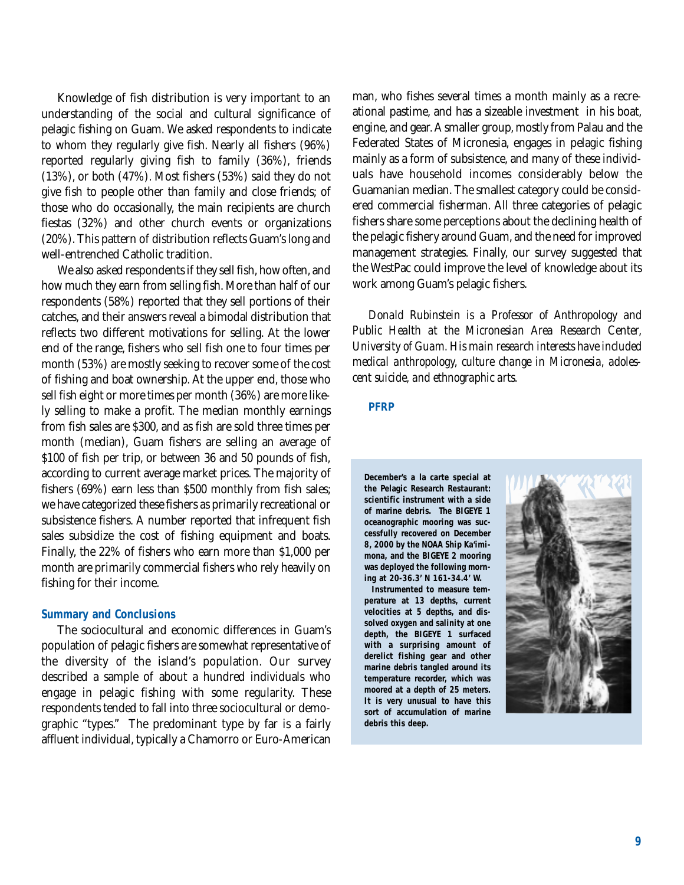Knowledge of fish distribution is very important to an understanding of the social and cultural significance of pelagic fishing on Guam. We asked respondents to indicate to whom they regularly give fish. Nearly all fishers (96%) reported regularly giving fish to family (36%), friends (13%), or both (47%). Most fishers (53%) said they do not give fish to people other than family and close friends; of those who do occasionally, the main recipients are church fiestas (32%) and other church events or organizations (20%). This pattern of distribution reflects Guam's long and well-entrenched Catholic tradition.

We also asked respondents if they sell fish, how often, and how much they earn from selling fish. More than half of our respondents (58%) reported that they sell portions of their catches, and their answers reveal a bimodal distribution that reflects two different motivations for selling. At the lower end of the range, fishers who sell fish one to four times per month (53%) are mostly seeking to recover some of the cost of fishing and boat ownership. At the upper end, those who sell fish eight or more times per month (36%) are more likely selling to make a profit. The median monthly earnings from fish sales are \$300, and as fish are sold three times per month (median), Guam fishers are selling an average of \$100 of fish per trip, or between 36 and 50 pounds of fish, according to current average market prices. The majority of fishers (69%) earn less than \$500 monthly from fish sales; we have categorized these fishers as primarily recreational or subsistence fishers. A number reported that infrequent fish sales subsidize the cost of fishing equipment and boats. Finally, the 22% of fishers who earn more than \$1,000 per month are primarily commercial fishers who rely heavily on fishing for their income.

### **Summary and Conclusions**

The sociocultural and economic differences in Guam's population of pelagic fishers are somewhat representative of the diversity of the island's population. Our survey described a sample of about a hundred individuals who engage in pelagic fishing with some regularity. These respondents tended to fall into three sociocultural or demographic "types." The predominant type by far is a fairly affluent individual, typically a Chamorro or Euro-American man, who fishes several times a month mainly as a recreational pastime, and has a sizeable investment in his boat, engine, and gear. A smaller group, mostly from Palau and the Federated States of Micronesia, engages in pelagic fishing mainly as a form of subsistence, and many of these individuals have household incomes considerably below the Guamanian median. The smallest category could be considered commercial fisherman. All three categories of pelagic fishers share some perceptions about the declining health of the pelagic fishery around Guam, and the need for improved management strategies. Finally, our survey suggested that the WestPac could improve the level of knowledge about its work among Guam's pelagic fishers.

*Donald Rubinstein is a Professor of Anthropology and Public Health at the Micronesian Area Research Center, University of Guam. His main research interests have included medical anthropology, culture change in Micronesia, adolescent suicide, and ethnographic arts.*

### **PFRP**

**December's a la carte special at the Pelagic Research Restaurant: scientific instrument with a side of marine debris. The BIGEYE 1 oceanographic mooring was successfully recovered on December 8, 2000 by the NOAA Ship Ka'imimona, and the BIGEYE 2 mooring was deployed the following morning at 20-36.3' N 161-34.4' W.** 

**Instrumented to measure temperature at 13 depths, current velocities at 5 depths, and dissolved oxygen and salinity at one depth, the BIGEYE 1 surfaced with a surprising amount of derelict fishing gear and other marine debris tangled around its temperature recorder, which was moored at a depth of 25 meters. It is very unusual to have this sort of accumulation of marine debris this deep.** 

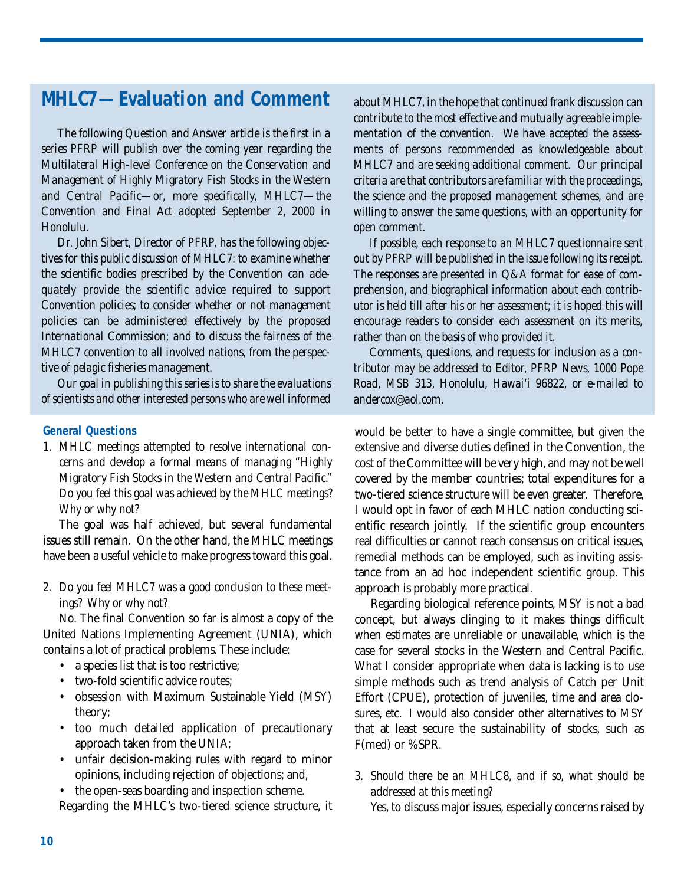# **MHLC7—Evaluation and Comment**

*The following Question and Answer article is the first in a series PFRP will publish over the coming year regarding the Multilateral High-level Conference on the Conservation and Management of Highly Migratory Fish Stocks in the Western and Central Pacific—or, more specifically, MHLC7—the Convention and Final Act adopted September 2, 2000 in Honolulu.*

*Dr. John Sibert, Director of PFRP, has the following objectives for this public discussion of MHLC7: to examine whether the scientific bodies prescribed by the Convention can adequately provide the scientific advice required to support Convention policies; to consider whether or not management policies can be administered effectively by the proposed International Commission; and to discuss the fairness of the MHLC7 convention to all involved nations, from the perspective of pelagic fisheries management.*

*Our goal in publishing this series is to share the evaluations of scientists and other interested persons who are well informed*

## **General Questions**

*1. MHLC meetings attempted to resolve international concerns and develop a formal means of managing "Highly Migratory Fish Stocks in the Western and Central Pacific." Do you feel this goal was achieved by the MHLC meetings? Why or why not?*

The goal was half achieved, but several fundamental issues still remain. On the other hand, the MHLC meetings have been a useful vehicle to make progress toward this goal.

*2. Do you feel MHLC7 was a good conclusion to these meetings? Why or why not?*

No. The final Convention so far is almost a copy of the United Nations Implementing Agreement (UNIA), which contains a lot of practical problems. These include:

- a species list that is too restrictive;
- two-fold scientific advice routes:
- obsession with Maximum Sustainable Yield (MSY) theory;
- too much detailed application of precautionary approach taken from the UNIA;
- unfair decision-making rules with regard to minor opinions, including rejection of objections; and,

• the open-seas boarding and inspection scheme. Regarding the MHLC's two-tiered science structure, it *about MHLC7, in the hope that continued frank discussion can contribute to the most effective and mutually agreeable implementation of the convention. We have accepted the assessments of persons recommended as knowledgeable about MHLC7 and are seeking additional comment. Our principal criteria are that contributors are familiar with the proceedings, the science and the proposed management schemes, and are willing to answer the same questions, with an opportunity for open comment.*

*If possible, each response to an MHLC7 questionnaire sent out by PFRP will be published in the issue following its receipt. The responses are presented in Q&A format for ease of comprehension, and biographical information about each contributor is held till after his or her assessment; it is hoped this will encourage readers to consider each assessment on its merits, rather than on the basis of who provided it.*

*Comments, questions, and requests for inclusion as a contributor may be addressed to Editor, PFRP News, 1000 Pope Road, MSB 313, Honolulu, Hawai'i 96822, or e-mailed to andercox@aol.com.*

would be better to have a single committee, but given the extensive and diverse duties defined in the Convention, the cost of the Committee will be very high, and may not be well covered by the member countries; total expenditures for a two-tiered science structure will be even greater. Therefore, I would opt in favor of each MHLC nation conducting scientific research jointly. If the scientific group encounters real difficulties or cannot reach consensus on critical issues, remedial methods can be employed, such as inviting assistance from an ad hoc independent scientific group. This approach is probably more practical.

Regarding biological reference points, MSY is not a bad concept, but always clinging to it makes things difficult when estimates are unreliable or unavailable, which is the case for several stocks in the Western and Central Pacific. What I consider appropriate when data is lacking is to use simple methods such as trend analysis of Catch per Unit Effort (CPUE), protection of juveniles, time and area closures, etc. I would also consider other alternatives to MSY that at least secure the sustainability of stocks, such as F(med) or %SPR.

*3. Should there be an MHLC8, and if so, what should be addressed at this meeting?*

Yes, to discuss major issues, especially concerns raised by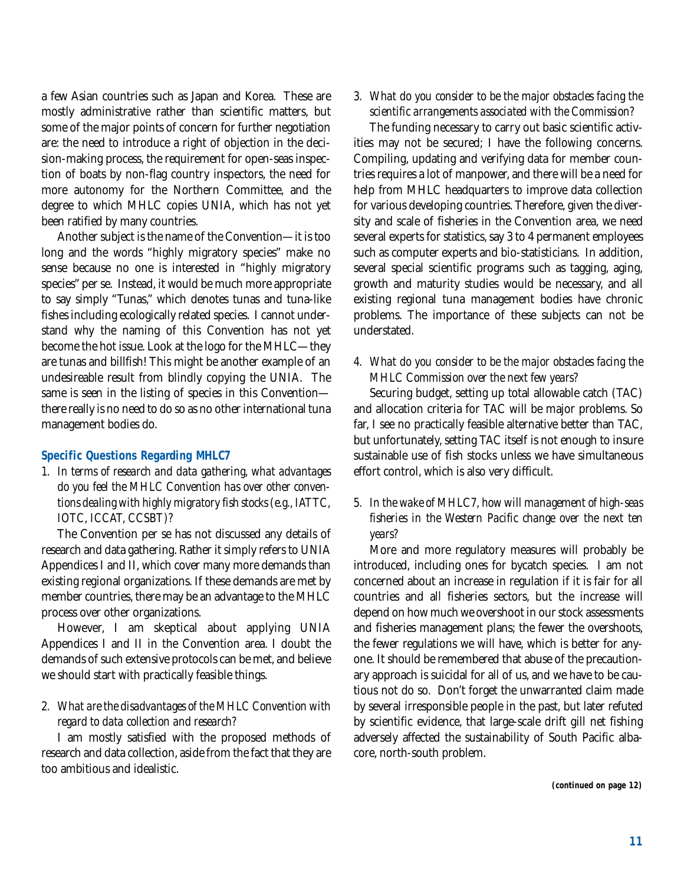a few Asian countries such as Japan and Korea. These are mostly administrative rather than scientific matters, but some of the major points of concern for further negotiation are: the need to introduce a right of objection in the decision-making process, the requirement for open-seas inspection of boats by non-flag country inspectors, the need for more autonomy for the Northern Committee, and the degree to which MHLC copies UNIA, which has not yet been ratified by many countries.

Another subject is the name of the Convention—it is too long and the words "highly migratory species" make no sense because no one is interested in "highly migratory species" per se. Instead, it would be much more appropriate to say simply "Tunas," which denotes tunas and tuna-like fishes including ecologically related species. I cannot understand why the naming of this Convention has not yet become the hot issue. Look at the logo for the MHLC—they are tunas and billfish! This might be another example of an undesireable result from blindly copying the UNIA. The same is seen in the listing of species in this Convention there really is no need to do so as no other international tuna management bodies do.

### **Specific Questions Regarding MHLC7**

*1. In terms of research and data gathering, what advantages do you feel the MHLC Convention has over other conventions dealing with highly migratory fish stocks (e.g., IATTC, IOTC, ICCAT, CCSBT)?* 

The Convention per se has not discussed any details of research and data gathering. Rather it simply refers to UNIA Appendices I and II, which cover many more demands than existing regional organizations. If these demands are met by member countries, there may be an advantage to the MHLC process over other organizations.

However, I am skeptical about applying UNIA Appendices I and II in the Convention area. I doubt the demands of such extensive protocols can be met, and believe we should start with practically feasible things.

# *2. What are the disadvantages of the MHLC Convention with regard to data collection and research?*

I am mostly satisfied with the proposed methods of research and data collection, aside from the fact that they are too ambitious and idealistic.

# *3. What do you consider to be the major obstacles facing the scientific arrangements associated with the Commission?*

The funding necessary to carry out basic scientific activities may not be secured; I have the following concerns. Compiling, updating and verifying data for member countries requires a lot of manpower, and there will be a need for help from MHLC headquarters to improve data collection for various developing countries. Therefore, given the diversity and scale of fisheries in the Convention area, we need several experts for statistics, say 3 to 4 permanent employees such as computer experts and bio-statisticians. In addition, several special scientific programs such as tagging, aging, growth and maturity studies would be necessary, and all existing regional tuna management bodies have chronic problems. The importance of these subjects can not be understated.

# *4. What do you consider to be the major obstacles facing the MHLC Commission over the next few years?*

Securing budget, setting up total allowable catch (TAC) and allocation criteria for TAC will be major problems. So far, I see no practically feasible alternative better than TAC, but unfortunately, setting TAC itself is not enough to insure sustainable use of fish stocks unless we have simultaneous effort control, which is also very difficult.

# *5. In the wake of MHLC7, how will management of high-seas fisheries in the Western Pacific change over the next ten years?*

More and more regulatory measures will probably be introduced, including ones for bycatch species. I am not concerned about an increase in regulation if it is fair for all countries and all fisheries sectors, but the increase will depend on how much we overshoot in our stock assessments and fisheries management plans; the fewer the overshoots, the fewer regulations we will have, which is better for anyone. It should be remembered that abuse of the precautionary approach is suicidal for all of us, and we have to be cautious not do so. Don't forget the unwarranted claim made by several irresponsible people in the past, but later refuted by scientific evidence, that large-scale drift gill net fishing adversely affected the sustainability of South Pacific albacore, north-south problem.